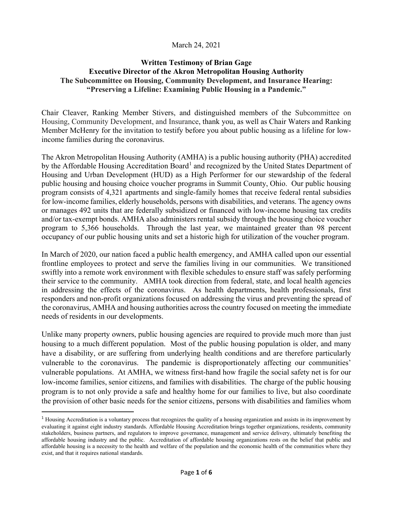#### March 24, 2021

#### **Written Testimony of Brian Gage Executive Director of the Akron Metropolitan Housing Authority The Subcommittee on Housing, Community Development, and Insurance Hearing: "Preserving a Lifeline: Examining Public Housing in a Pandemic."**

Chair Cleaver, Ranking Member Stivers, and distinguished members of the Subcommittee on Housing, Community Development, and Insurance, thank you, as well as Chair Waters and Ranking Member McHenry for the invitation to testify before you about public housing as a lifeline for lowincome families during the coronavirus.

The Akron Metropolitan Housing Authority (AMHA) is a public housing authority (PHA) accredited by the Affordable Housing Accreditation Board<sup>[1](#page-0-0)</sup> and recognized by the United States Department of Housing and Urban Development (HUD) as a High Performer for our stewardship of the federal public housing and housing choice voucher programs in Summit County, Ohio. Our public housing program consists of 4,321 apartments and single-family homes that receive federal rental subsidies for low-income families, elderly households, persons with disabilities, and veterans. The agency owns or manages 492 units that are federally subsidized or financed with low-income housing tax credits and/or tax-exempt bonds. AMHA also administers rental subsidy through the housing choice voucher program to 5,366 households. Through the last year, we maintained greater than 98 percent occupancy of our public housing units and set a historic high for utilization of the voucher program.

In March of 2020, our nation faced a public health emergency, and AMHA called upon our essential frontline employees to protect and serve the families living in our communities. We transitioned swiftly into a remote work environment with flexible schedules to ensure staff was safely performing their service to the community. AMHA took direction from federal, state, and local health agencies in addressing the effects of the coronavirus. As health departments, health professionals, first responders and non-profit organizations focused on addressing the virus and preventing the spread of the coronavirus, AMHA and housing authorities across the country focused on meeting the immediate needs of residents in our developments.

Unlike many property owners, public housing agencies are required to provide much more than just housing to a much different population. Most of the public housing population is older, and many have a disability, or are suffering from underlying health conditions and are therefore particularly vulnerable to the coronavirus. The pandemic is disproportionately affecting our communities' vulnerable populations. At AMHA, we witness first-hand how fragile the social safety net is for our low-income families, senior citizens, and families with disabilities. The charge of the public housing program is to not only provide a safe and healthy home for our families to live, but also coordinate the provision of other basic needs for the senior citizens, persons with disabilities and families whom

<span id="page-0-0"></span> $<sup>1</sup>$  Housing Accreditation is a voluntary process that recognizes the quality of a housing organization and assists in its improvement by</sup> evaluating it against eight industry standards. Affordable Housing Accreditation brings together organizations, residents, community stakeholders, business partners, and regulators to improve governance, management and service delivery, ultimately benefiting the affordable housing industry and the public. Accreditation of affordable housing organizations rests on the belief that public and affordable housing is a necessity to the health and welfare of the population and the economic health of the communities where they exist, and that it requires national standards.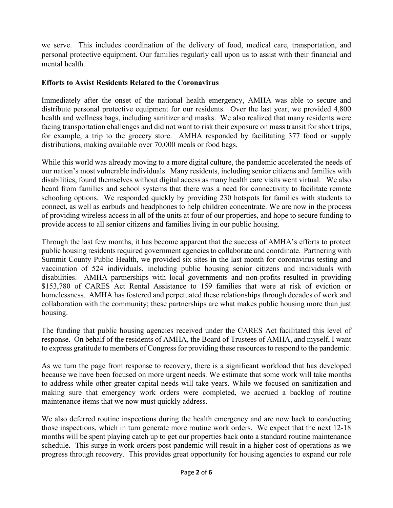we serve. This includes coordination of the delivery of food, medical care, transportation, and personal protective equipment. Our families regularly call upon us to assist with their financial and mental health.

#### **Efforts to Assist Residents Related to the Coronavirus**

Immediately after the onset of the national health emergency, AMHA was able to secure and distribute personal protective equipment for our residents. Over the last year, we provided 4,800 health and wellness bags, including sanitizer and masks. We also realized that many residents were facing transportation challenges and did not want to risk their exposure on mass transit for short trips, for example, a trip to the grocery store. AMHA responded by facilitating 377 food or supply distributions, making available over 70,000 meals or food bags.

While this world was already moving to a more digital culture, the pandemic accelerated the needs of our nation's most vulnerable individuals.  Many residents, including senior citizens and families with disabilities, found themselves without digital access as many health care visits went virtual. We also heard from families and school systems that there was a need for connectivity to facilitate remote schooling options. We responded quickly by providing 230 hotspots for families with students to connect, as well as earbuds and headphones to help children concentrate. We are now in the process of providing wireless access in all of the units at four of our properties, and hope to secure funding to provide access to all senior citizens and families living in our public housing.

Through the last few months, it has become apparent that the success of AMHA's efforts to protect public housing residents required government agencies to collaborate and coordinate. Partnering with Summit County Public Health, we provided six sites in the last month for coronavirus testing and vaccination of 524 individuals, including public housing senior citizens and individuals with disabilities. AMHA partnerships with local governments and non-profits resulted in providing \$153,780 of CARES Act Rental Assistance to 159 families that were at risk of eviction or homelessness. AMHA has fostered and perpetuated these relationships through decades of work and collaboration with the community; these partnerships are what makes public housing more than just housing.

The funding that public housing agencies received under the CARES Act facilitated this level of response. On behalf of the residents of AMHA, the Board of Trustees of AMHA, and myself, I want to express gratitude to members of Congress for providing these resources to respond to the pandemic.

As we turn the page from response to recovery, there is a significant workload that has developed because we have been focused on more urgent needs. We estimate that some work will take months to address while other greater capital needs will take years. While we focused on sanitization and making sure that emergency work orders were completed, we accrued a backlog of routine maintenance items that we now must quickly address.

We also deferred routine inspections during the health emergency and are now back to conducting those inspections, which in turn generate more routine work orders. We expect that the next 12-18 months will be spent playing catch up to get our properties back onto a standard routine maintenance schedule. This surge in work orders post pandemic will result in a higher cost of operations as we progress through recovery. This provides great opportunity for housing agencies to expand our role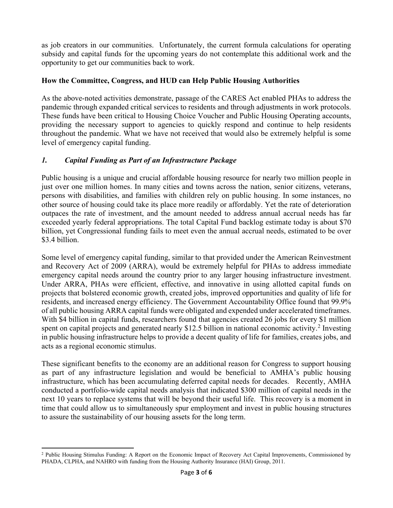as job creators in our communities. Unfortunately, the current formula calculations for operating subsidy and capital funds for the upcoming years do not contemplate this additional work and the opportunity to get our communities back to work.

#### **How the Committee, Congress, and HUD can Help Public Housing Authorities**

As the above-noted activities demonstrate, passage of the CARES Act enabled PHAs to address the pandemic through expanded critical services to residents and through adjustments in work protocols. These funds have been critical to Housing Choice Voucher and Public Housing Operating accounts, providing the necessary support to agencies to quickly respond and continue to help residents throughout the pandemic. What we have not received that would also be extremely helpful is some level of emergency capital funding.

## *1. Capital Funding as Part of an Infrastructure Package*

Public housing is a unique and crucial affordable housing resource for nearly two million people in just over one million homes. In many cities and towns across the nation, senior citizens, veterans, persons with disabilities, and families with children rely on public housing. In some instances, no other source of housing could take its place more readily or affordably. Yet the rate of deterioration outpaces the rate of investment, and the amount needed to address annual accrual needs has far exceeded yearly federal appropriations. The total Capital Fund backlog estimate today is about \$70 billion, yet Congressional funding fails to meet even the annual accrual needs, estimated to be over \$3.4 billion.

Some level of emergency capital funding, similar to that provided under the American Reinvestment and Recovery Act of 2009 (ARRA), would be extremely helpful for PHAs to address immediate emergency capital needs around the country prior to any larger housing infrastructure investment. Under ARRA, PHAs were efficient, effective, and innovative in using allotted capital funds on projects that bolstered economic growth, created jobs, improved opportunities and quality of life for residents, and increased energy efficiency. The Government Accountability Office found that 99.9% of all public housing ARRA capital funds were obligated and expended under accelerated timeframes. With \$4 billion in capital funds, researchers found that agencies created 26 jobs for every \$1 million spent on capital projects and generated nearly \$1[2](#page-2-0).5 billion in national economic activity.<sup>2</sup> Investing in public housing infrastructure helps to provide a decent quality of life for families, creates jobs, and acts as a regional economic stimulus.

These significant benefits to the economy are an additional reason for Congress to support housing as part of any infrastructure legislation and would be beneficial to AMHA's public housing infrastructure, which has been accumulating deferred capital needs for decades. Recently, AMHA conducted a portfolio-wide capital needs analysis that indicated \$300 million of capital needs in the next 10 years to replace systems that will be beyond their useful life. This recovery is a moment in time that could allow us to simultaneously spur employment and invest in public housing structures to assure the sustainability of our housing assets for the long term.

<span id="page-2-0"></span><sup>2</sup> Public Housing Stimulus Funding: A Report on the Economic Impact of Recovery Act Capital Improvements, Commissioned by PHADA, CLPHA, and NAHRO with funding from the Housing Authority Insurance (HAI) Group, 2011.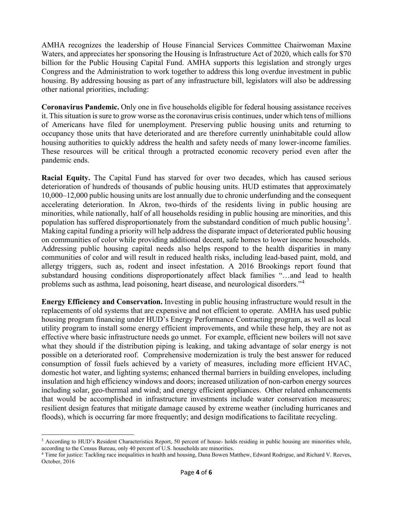AMHA recognizes the leadership of House Financial Services Committee Chairwoman Maxine Waters, and appreciates her sponsoring the Housing is Infrastructure Act of 2020, which calls for \$70 billion for the Public Housing Capital Fund. AMHA supports this legislation and strongly urges Congress and the Administration to work together to address this long overdue investment in public housing. By addressing housing as part of any infrastructure bill, legislators will also be addressing other national priorities, including:

**Coronavirus Pandemic.** Only one in five households eligible for federal housing assistance receives it. This situation is sure to grow worse as the coronavirus crisis continues, under which tens of millions of Americans have filed for unemployment. Preserving public housing units and returning to occupancy those units that have deteriorated and are therefore currently uninhabitable could allow housing authorities to quickly address the health and safety needs of many lower-income families. These resources will be critical through a protracted economic recovery period even after the pandemic ends.

**Racial Equity.** The Capital Fund has starved for over two decades, which has caused serious deterioration of hundreds of thousands of public housing units. HUD estimates that approximately 10,000–12,000 public housing units are lost annually due to chronic underfunding and the consequent accelerating deterioration. In Akron, two-thirds of the residents living in public housing are minorities, while nationally, half of all households residing in public housing are minorities, and this population has suffered disproportionately from the substandard condition of much public housing<sup>[3](#page-3-0)</sup>. Making capital funding a priority will help address the disparate impact of deteriorated public housing on communities of color while providing additional decent, safe homes to lower income households. Addressing public housing capital needs also helps respond to the health disparities in many communities of color and will result in reduced health risks, including lead-based paint, mold, and allergy triggers, such as, rodent and insect infestation. A 2016 Brookings report found that substandard housing conditions disproportionately affect black families "…and lead to health problems such as asthma, lead poisoning, heart disease, and neurological disorders."[4](#page-3-1)

**Energy Efficiency and Conservation.** Investing in public housing infrastructure would result in the replacements of old systems that are expensive and not efficient to operate. AMHA has used public housing program financing under HUD's Energy Performance Contracting program, as well as local utility program to install some energy efficient improvements, and while these help, they are not as effective where basic infrastructure needs go unmet. For example, efficient new boilers will not save what they should if the distribution piping is leaking, and taking advantage of solar energy is not possible on a deteriorated roof. Comprehensive modernization is truly the best answer for reduced consumption of fossil fuels achieved by a variety of measures, including more efficient HVAC, domestic hot water, and lighting systems; enhanced thermal barriers in building envelopes, including insulation and high efficiency windows and doors; increased utilization of non-carbon energy sources including solar, geo-thermal and wind; and energy efficient appliances. Other related enhancements that would be accomplished in infrastructure investments include water conservation measures; resilient design features that mitigate damage caused by extreme weather (including hurricanes and floods), which is occurring far more frequently; and design modifications to facilitate recycling.

<span id="page-3-0"></span><sup>&</sup>lt;sup>3</sup> According to HUD's Resident Characteristics Report, 50 percent of house- holds residing in public housing are minorities while, according to the Census Bureau, only 40 percent of U.S. households are minorities.

<span id="page-3-1"></span><sup>4</sup> Time for justice: Tackling race inequalities in health and housing, Dana Bowen Matthew, Edward Rodrigue, and Richard V. Reeves, October, 2016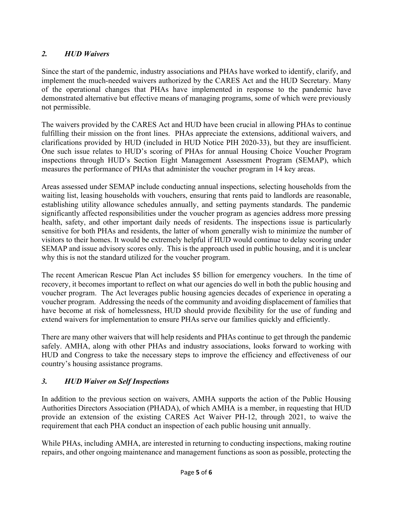# *2. HUD Waivers*

Since the start of the pandemic, industry associations and PHAs have worked to identify, clarify, and implement the much-needed waivers authorized by the CARES Act and the HUD Secretary. Many of the operational changes that PHAs have implemented in response to the pandemic have demonstrated alternative but effective means of managing programs, some of which were previously not permissible.

The waivers provided by the CARES Act and HUD have been crucial in allowing PHAs to continue fulfilling their mission on the front lines. PHAs appreciate the extensions, additional waivers, and clarifications provided by HUD (included in HUD Notice PIH 2020-33), but they are insufficient. One such issue relates to HUD's scoring of PHAs for annual Housing Choice Voucher Program inspections through HUD's Section Eight Management Assessment Program (SEMAP), which measures the performance of PHAs that administer the voucher program in 14 key areas.

Areas assessed under SEMAP include conducting annual inspections, selecting households from the waiting list, leasing households with vouchers, ensuring that rents paid to landlords are reasonable, establishing utility allowance schedules annually, and setting payments standards. The pandemic significantly affected responsibilities under the voucher program as agencies address more pressing health, safety, and other important daily needs of residents. The inspections issue is particularly sensitive for both PHAs and residents, the latter of whom generally wish to minimize the number of visitors to their homes. It would be extremely helpful if HUD would continue to delay scoring under SEMAP and issue advisory scores only. This is the approach used in public housing, and it is unclear why this is not the standard utilized for the voucher program.

The recent American Rescue Plan Act includes \$5 billion for emergency vouchers. In the time of recovery, it becomes important to reflect on what our agencies do well in both the public housing and voucher program. The Act leverages public housing agencies decades of experience in operating a voucher program. Addressing the needs of the community and avoiding displacement of families that have become at risk of homelessness, HUD should provide flexibility for the use of funding and extend waivers for implementation to ensure PHAs serve our families quickly and efficiently.

There are many other waivers that will help residents and PHAs continue to get through the pandemic safely. AMHA, along with other PHAs and industry associations, looks forward to working with HUD and Congress to take the necessary steps to improve the efficiency and effectiveness of our country's housing assistance programs.

## *3. HUD Waiver on Self Inspections*

In addition to the previous section on waivers, AMHA supports the action of the Public Housing Authorities Directors Association (PHADA), of which AMHA is a member, in requesting that HUD provide an extension of the existing CARES Act Waiver PH-12, through 2021, to waive the requirement that each PHA conduct an inspection of each public housing unit annually.

While PHAs, including AMHA, are interested in returning to conducting inspections, making routine repairs, and other ongoing maintenance and management functions as soon as possible, protecting the